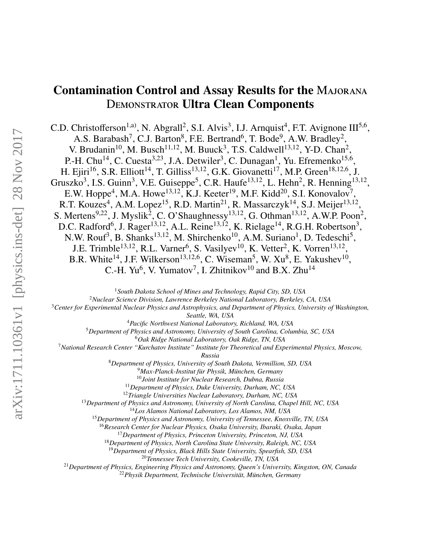# **Contamination Control and Assay Results for the MAJORANA DEMONSTRATOR Ultra Clean Components**

C.D. Christofferson<sup>1,a)</sup>, N. Abgrall<sup>2</sup>, S.I. Alvis<sup>3</sup>, I.J. Arnquist<sup>4</sup>, F.T. Avignone III<sup>5,6</sup>, A.S. Barabash<sup>7</sup>, C.J. Barton<sup>8</sup>, F.E. Bertrand<sup>6</sup>, T. Bode<sup>9</sup>, A.W. Bradley<sup>2</sup>, V. Brudanin<sup>10</sup>, M. Busch<sup>11,12</sup>, M. Buuck<sup>3</sup>, T.S. Caldwell<sup>13,12</sup>, Y-D. Chan<sup>2</sup> P.-H. Chu<sup>14</sup>, C. Cuesta<sup>3,23</sup>, J.A. Detwiler<sup>3</sup>, C. Dunagan<sup>1</sup>, Yu. Efremenko<sup>15,6</sup> H. Ejiri<sup>16</sup>, S.R. Elliott<sup>14</sup>, T. Gilliss<sup>13,12</sup>, G.K. Giovanetti<sup>17</sup>, M.P. Green<sup>18,12,6</sup>, J. Gruszko<sup>3</sup>, I.S. Guinn<sup>3</sup>, V.E. Guiseppe<sup>5</sup>, C.R. Haufe<sup>13,12</sup>, L. Hehn<sup>2</sup>, R. Henning<sup>13,12</sup>, E.W. Hoppe<sup>4</sup>, M.A. Howe<sup>13,12</sup>, K.J. Keeter<sup>19</sup>, M.F. Kidd<sup>20</sup>, S.I. Konovalov<sup>7</sup>, R.T. Kouzes<sup>4</sup>, A.M. Lopez<sup>15</sup>, R.D. Martin<sup>21</sup>, R. Massarczyk<sup>14</sup>, S.J. Meijer<sup>13,12</sup>, S. Mertens<sup>9,22</sup>, J. Myslik<sup>2</sup>, C. O'Shaughnessy<sup>13,12</sup>, G. Othman<sup>13,12</sup>, A.W.P. Poon<sup>2</sup>, D.C. Radford<sup>6</sup>, J. Rager<sup>13,12</sup>, A.L. Rein N.W. Rouf<sup>3</sup>, B. Shanks<sup>13,12</sup>, M. Shirchenko<sup>10</sup>, A.M. Suriano<sup>1</sup>, D. Tedeschi<sup>5</sup>, J.E. Trimble<sup>13,12</sup>, R.L. Varner<sup>6</sup>, S. Vasilyev<sup>10</sup>, K. Vetter<sup>2</sup>, K. Vorren<sup>13,12</sup>, B.R. White<sup>14</sup>, J.F. Wilkerson<sup>13,12,6</sup>, C. Wiseman<sup>5</sup>, W. Xu<sup>8</sup>, E. Yakushev<sup>10</sup>, C.-H. Yu<sup>6</sup>, V. Yumatov<sup>7</sup>, I. Zhitnikov<sup>10</sup> and B.X. Zhu<sup>14</sup>

<sup>1</sup> South Dakota School of Mines and Technology, Rapid City, SD, USA

<sup>2</sup>Nuclear Science Division, Lawrence Berkeley National Laboratory, Berkeley, CA, USA

 $3$  Center for Experimental Nuclear Physics and Astrophysics, and Department of Physics, University of Washington,

Seattle, WA, USA

<sup>4</sup>Pacific Northwest National Laboratory, Richland, WA, USA

<sup>5</sup>Department of Physics and Astronomy, University of South Carolina, Columbia, SC, USA

<sup>6</sup>Oak Ridge National Laboratory, Oak Ridge, TN, USA

<sup>7</sup>National Research Center "Kurchatov Institute" Institute for Theoretical and Experimental Physics, Moscow,

Russia

<sup>8</sup>Department of Physics, University of South Dakota, Vermillion, SD, USA

<sup>9</sup>Max-Planck-Institut für Physik, München, Germany

<sup>10</sup>Joint Institute for Nuclear Research, Dubna, Russia

<sup>11</sup>Department of Physics, Duke University, Durham, NC, USA

<sup>12</sup>Triangle Universities Nuclear Laboratory, Durham, NC, USA

<sup>13</sup>Department of Physics and Astronomy, University of North Carolina, Chapel Hill, NC, USA

<sup>14</sup>Los Alamos National Laboratory, Los Alamos, NM, USA

<sup>15</sup>Department of Physics and Astronomy, University of Tennessee, Knoxville, TN, USA

<sup>16</sup>Research Center for Nuclear Physics, Osaka University, Ibaraki, Osaka, Japan

<sup>17</sup>Department of Physics, Princeton University, Princeton, NJ, USA

<sup>18</sup>Department of Physics, North Carolina State University, Raleigh, NC, USA

<sup>19</sup>Department of Physics, Black Hills State University, Spearfish, SD, USA

<sup>20</sup>Tennessee Tech University, Cookeville, TN, USA

<sup>21</sup> Department of Physics, Engineering Physics and Astronomy, Queen's University, Kingston, ON, Canada

<sup>22</sup> Physik Department, Technische Universität, München, Germany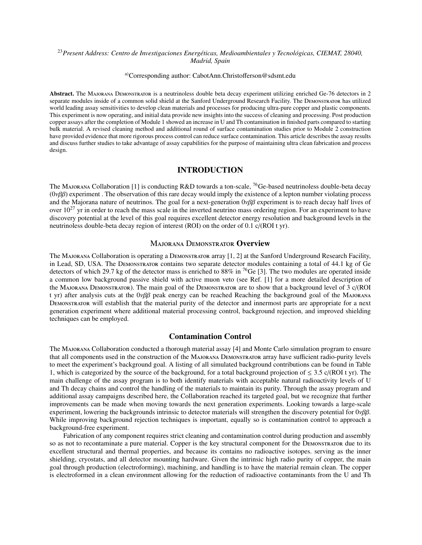## <sup>23</sup> Present Address: Centro de Investigaciones Energéticas, Medioambientales y Tecnológicas, CIEMAT, 28040, *Madrid, Spain*

#### a)Corresponding author: CabotAnn.Christofferson@sdsmt.edu

Abstract. The Majorana Demonstrator is a neutrinoless double beta decay experiment utilizing enriched Ge-76 detectors in 2 separate modules inside of a common solid shield at the Sanford Underground Research Facility. The Demonstrator has utilized world leading assay sensitivities to develop clean materials and processes for producing ultra-pure copper and plastic components. This experiment is now operating, and initial data provide new insights into the success of cleaning and processing. Post production copper assays after the completion of Module 1 showed an increase in U and Th contamination in finished parts compared to starting bulk material. A revised cleaning method and additional round of surface contamination studies prior to Module 2 construction have provided evidence that more rigorous process control can reduce surface contamination. This article describes the assay results and discuss further studies to take advantage of assay capabilities for the purpose of maintaining ultra clean fabrication and process design.

## INTRODUCTION

The Majorana Collaboration [1] is conducting R&D towards a ton-scale, <sup>76</sup>Ge-based neutrinoless double-beta decay  $(0\nu\beta\beta)$  experiment. The observation of this rare decay would imply the existence of a lepton number violating process and the Majorana nature of neutrinos. The goal for a next-generation  $0\nu\beta\beta$  experiment is to reach decay half lives of over  $10^{27}$  yr in order to reach the mass scale in the inverted neutrino mass ordering region. For an experiment to have discovery potential at the level of this goal requires excellent detector energy resolution and background levels in the neutrinoless double-beta decay region of interest (ROI) on the order of 0.1 c/(ROI t yr).

## MAJORANA DEMONSTRATOR Overview

The Majorana Collaboration is operating a Demonstrator array [1, 2] at the Sanford Underground Research Facility, in Lead, SD, USA. The Demonstrator contains two separate detector modules containing a total of 44.1 kg of Ge detectors of which 29.7 kg of the detector mass is enriched to 88% in  $^{76}$ Ge [3]. The two modules are operated inside a common low background passive shield with active muon veto (see Ref. [1] for a more detailed description of the Majorana Demonstrator). The main goal of the Demonstrator are to show that a background level of 3 c/(ROI t yr) after analysis cuts at the 0νββ peak energy can be reached Reaching the background goal of the Majorana Demonstrator will establish that the material purity of the detector and innermost parts are appropriate for a next generation experiment where additional material processing control, background rejection, and improved shielding techniques can be employed.

## Contamination Control

The Majorana Collaboration conducted a thorough material assay [4] and Monte Carlo simulation program to ensure that all components used in the construction of the Majorana Demonstrator array have sufficient radio-purity levels to meet the experiment's background goal. A listing of all simulated background contributions can be found in Table 1, which is categorized by the source of the background, for a total background projection of  $\leq 3.5$  c/(ROI t yr). The main challenge of the assay program is to both identify materials with acceptable natural radioactivity levels of U and Th decay chains and control the handling of the materials to maintain its purity. Through the assay program and additional assay campaigns described here, the Collaboration reached its targeted goal, but we recognize that further improvements can be made when moving towards the next generation experiments. Looking towards a large-scale experiment, lowering the backgrounds intrinsic to detector materials will strengthen the discovery potential for  $0\nu\beta\beta$ . While improving background rejection techniques is important, equally so is contamination control to approach a background-free experiment.

Fabrication of any component requires strict cleaning and contamination control during production and assembly so as not to recontaminate a pure material. Copper is the key structural component for the Demonstrator due to its excellent structural and thermal properties, and because its contains no radioactive isotopes. serving as the inner shielding, cryostats, and all detector mounting hardware. Given the intrinsic high radio purity of copper, the main goal through production (electroforming), machining, and handling is to have the material remain clean. The copper is electroformed in a clean environment allowing for the reduction of radioactive contaminants from the U and Th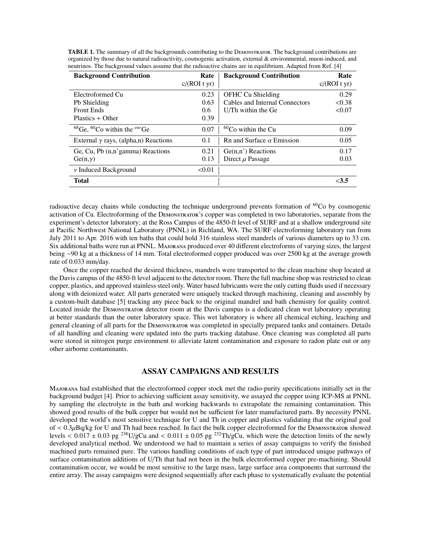| <b>Background Contribution</b>                      | Rate         | <b>Background Contribution</b>   | Rate         |
|-----------------------------------------------------|--------------|----------------------------------|--------------|
|                                                     | c/(ROI t yr) |                                  | c/(ROI t yr) |
| Electroformed Cu                                    | 0.23         | OFHC Cu Shielding                | 0.29         |
| Pb Shielding                                        | 0.63         | Cables and Internal Connectors   | < 0.38       |
| <b>Front Ends</b>                                   | 0.6          | U/Th within the Ge               | < 0.07       |
| Plastics + Other                                    | 0.39         |                                  |              |
| ${}^{68}$ Ge, ${}^{60}$ Co within the ${}^{enr}$ Ge | 0.07         | $60$ Co within the Cu            | 0.09         |
| External $\gamma$ rays, (alpha,n) Reactions         | 0.1          | Rn and Surface $\alpha$ Emission | 0.05         |
| Ge, Cu, Pb (n,n'gamma) Reactions                    | 0.21         | $Ge(n,n')$ Reactions             | 0.17         |
| $Ge(n,\gamma)$                                      | 0.13         | Direct $\mu$ Passage             | 0.03         |
| $\nu$ Induced Background                            | < 0.01       |                                  |              |
| <b>Total</b>                                        |              |                                  | < 3.5        |

TABLE 1. The summary of all the backgrounds contributing to the Demonstrator. The background contributions are organized by those due to natural radioactivity, cosmogenic activation, external & environmental, muon-induced, and neutrinos. The background values assume that the radioactive chains are in equilibrium. Adapted from Ref. [4]

radioactive decay chains while conducting the technique underground prevents formation of <sup>60</sup>Co by cosmogenic activation of Cu. Electroforming of the Demonstrator's copper was completed in two laboratories, separate from the experiment's detector laboratory; at the Ross Campus of the 4850-ft level of SURF and at a shallow underground site at Pacific Northwest National Laboratory (PNNL) in Richland, WA. The SURF electroforming laboratory ran from July 2011 to Apr. 2016 with ten baths that could hold 316 stainless steel mandrels of various diameters up to 33 cm. Six additional baths were run at PNNL. Majorana produced over 40 different electroforms of varying sizes, the largest being ∼90 kg at a thickness of 14 mm. Total electroformed copper produced was over 2500 kg at the average growth rate of 0.033 mm/day.

Once the copper reached the desired thickness, mandrels were transported to the clean machine shop located at the Davis campus of the 4850-ft level adjacent to the detector room. There the full machine shop was restricted to clean copper, plastics, and approved stainless steel only. Water based lubricants were the only cutting fluids used if necessary along with deionized water. All parts generated were uniquely tracked through machining, cleaning and assembly by a custom-built database [5] tracking any piece back to the original mandrel and bath chemistry for quality control. Located inside the Demonstrator detector room at the Davis campus is a dedicated clean wet laboratory operating at better standards than the outer laboratory space. This wet laboratory is where all chemical etching, leaching and general cleaning of all parts for the Demonstrator was completed in specially prepared tanks and containers. Details of all handling and cleaning were updated into the parts tracking database. Once cleaning was completed all parts were stored in nitrogen purge environment to alleviate latent contamination and exposure to radon plate out or any other airborne contaminants.

## ASSAY CAMPAIGNS AND RESULTS

Majorana had established that the electroformed copper stock met the radio-purity specifications initially set in the background budget [4]. Prior to achieving sufficient assay sensitivity, we assayed the copper using ICP-MS at PNNL by sampling the electrolyte in the bath and working backwards to extrapolate the remaining contamination. This showed good results of the bulk copper but would not be sufficient for later manufactured parts. By necessity PNNL developed the world's most sensitive technique for U and Th in copper and plastics validating that the original goal of < <sup>0</sup>.3µBq/kg for U and Th had been reached. In fact the bulk copper electroformed for the Demonstrator showed levels  $< 0.017 \pm 0.03$  pg <sup>238</sup>U/gCu and  $< 0.011 \pm 0.05$  pg <sup>232</sup>Th/gCu, which were the detection limits of the newly developed analytical method. We understood we had to maintain a series of assay campaigns to verify t machined parts remained pure. The various handling conditions of each type of part introduced unique pathways of surface contamination additions of U/Th that had not been in the bulk electroformed copper pre-machining. Should contamination occur, we would be most sensitive to the large mass, large surface area components that surround the entire array. The assay campaigns were designed sequentially after each phase to systematically evaluate the potential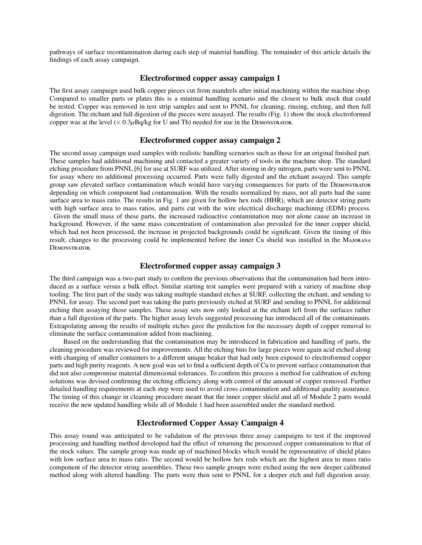pathways of surface recontamination during each step of material handling. The remainder of this article details the findings of each assay campaign.

#### Electroformed copper assay campaign 1

The first assay campaign used bulk copper pieces cut from mandrels after initial machining within the machine shop. Compared to smaller parts or plates this is a minimal handling scenario and the closest to bulk stock that could be tested. Copper was removed in test strip samples and sent to PNNL for cleaning, rinsing, etching, and then full digestion. The etchant and full digestion of the pieces were assayed. The results (Fig. 1) show the stock electroformed copper was at the level  $(< 0.3 \mu Bq/kg$  for U and Th) needed for use in the DEMONSTRATOR.

#### Electroformed copper assay campaign 2

The second assay campaign used samples with realistic handling scenarios such as those for an original finished part. These samples had additional machining and contacted a greater variety of tools in the machine shop. The standard etching procedure from PNNL [6] for use at SURF was utilized. After storing in dry nitrogen, parts were sent to PNNL for assay where no additional processing occurred. Parts were fully digested and the etchant assayed. This sample group saw elevated surface contamination which would have varying consequences for parts of the Demonstrator depending on which component had contamination. With the results normalized by mass, not all parts had the same surface area to mass ratio. The results in Fig. 1 are given for hollow hex rods (HHR), which are detector string parts with high surface area to mass ratios, and parts cut with the wire electrical discharge machining (EDM) process. . Given the small mass of these parts, the increased radioactive contamination may not alone cause an increase in background. However, if the same mass concentration of contamination also prevailed for the inner copper shield, which had not been processed, the increase in projected backgrounds could be significant. Given the timing of this result, changes to the processing could be implemented before the inner Cu shield was installed in the Majorana Demonstrator.

## Electroformed copper assay campaign 3

The third campaign was a two-part study to confirm the previous observations that the contamination had been introduced as a surface versus a bulk effect. Similar starting test samples were prepared with a variety of machine shop tooling. The first part of the study was taking multiple standard etches at SURF, collecting the etchant, and sending to PNNL for assay. The second part was taking the parts previously etched at SURF and sending to PNNL for additional etching then assaying those samples. These assay sets now only looked at the etchant left from the surfaces rather than a full digestion of the parts. The higher assay levels suggested processing has introduced all of the contaminants. Extrapolating among the results of multiple etches gave the prediction for the necessary depth of copper removal to eliminate the surface contamination added from machining.

Based on the understanding that the contamination may be introduced in fabrication and handling of parts, the cleaning procedure was reviewed for improvements. All the etching bins for large pieces were again acid etched along with changing of smaller containers to a different unique beaker that had only been exposed to electroformed copper parts and high purity reagents. A new goal was set to find a sufficient depth of Cu to prevent surface contamination that did not also compromise material dimensional tolerances. To confirm this process a method for calibration of etching solutions was devised confirming the etching efficiency along with control of the amount of copper removed. Further detailed handling requirements at each step were used to avoid cross contamination and additional quality assurance. The timing of this change in cleaning procedure meant that the inner copper shield and all of Module 2 parts would receive the new updated handling while all of Module 1 had been assembled under the standard method.

#### Electroformed Copper Assay Campaign 4

This assay round was anticipated to be validation of the previous three assay campaigns to test if the improved processing and handling method developed had the effect of returning the processed copper contamination to that of the stock values. The sample group was made up of machined blocks which would be representative of shield plates with low surface area to mass ratio. The second would be hollow hex rods which are the highest area to mass ratio component of the detector string assemblies. These two sample groups were etched using the new deeper calibrated method along with altered handling. The parts were then sent to PNNL for a deeper etch and full digestion assay.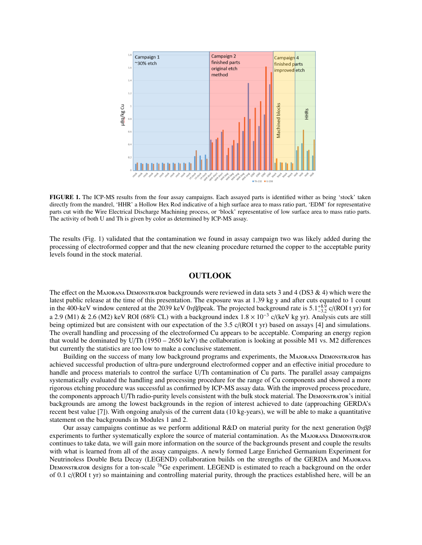

FIGURE 1. The ICP-MS results from the four assay campaigns. Each assayed parts is identified wither as being 'stock' taken directly from the mandrel, 'HHR' a Hollow Hex Rod indicative of a high surface area to mass ratio part, 'EDM' for representative parts cut with the Wire Electrical Discharge Machining process, or 'block' representative of low surface area to mass ratio parts. The activity of both U and Th is given by color as determined by ICP-MS assay.

The results (Fig. 1) validated that the contamination we found in assay campaign two was likely added during the processing of electroformed copper and that the new cleaning procedure returned the copper to the acceptable purity levels found in the stock material.

## **OUTLOOK**

The effect on the Majorana Demonstrator backgrounds were reviewed in data sets 3 and 4 (DS3 & 4) which were the latest public release at the time of this presentation. The exposure was at 1.39 kg y and after cuts equated to 1 count in the 400-keV window centered at the 2039 keV 0*vββ*peak. The projected background rate is 5.1<sup>+8.9</sup> c/(ROI t yr) for<br>e. 2.9 (M1) & 2.6 (M2) keV POI (68% CI) with a background index 1.8 × 10<sup>-3</sup> c/(keV kg yr). Analysis c a 2.9 (M1) & 2.6 (M2) keV ROI (68% CL) with a background index  $1.8 \times 10^{-3}$  c/(keV kg yr). Analysis cuts are still<br>heing optimized but are consistent with our expectation of the 3.5 c/(ROI t yr) based on assays [4] and s being optimized but are consistent with our expectation of the 3.5 c/(ROI t yr) based on assays [4] and simulations. The overall handling and processing of the electroformed Cu appears to be acceptable. Comparing an energy region that would be dominated by U/Th (1950 – 2650 keV) the collaboration is looking at possible M1 vs. M2 differences but currently the statistics are too low to make a conclusive statement.

Building on the success of many low background programs and experiments, the Majorana Demonstrator has achieved successful production of ultra-pure underground electroformed copper and an effective initial procedure to handle and process materials to control the surface U/Th contamination of Cu parts. The parallel assay campaigns systematically evaluated the handling and processing procedure for the range of Cu components and showed a more rigorous etching procedure was successful as confirmed by ICP-MS assay data. With the improved process procedure, the components approach U/Th radio-purity levels consistent with the bulk stock material. The Demonstrator's initial backgrounds are among the lowest backgrounds in the region of interest achieved to date (approaching GERDA's recent best value [7]). With ongoing analysis of the current data (10 kg-years), we will be able to make a quantitative statement on the backgrounds in Modules 1 and 2.

Our assay campaigns continue as we perform additional R&D on material purity for the next generation  $0\nu\beta\beta$ experiments to further systematically explore the source of material contamination. As the Majorana Demonstrator continues to take data, we will gain more information on the source of the backgrounds present and couple the results with what is learned from all of the assay campaigns. A newly formed Large Enriched Germanium Experiment for Neutrinoless Double Beta Decay (LEGEND) collaboration builds on the strengths of the GERDA and Majorana DEMONSTRATOR designs for a ton-scale <sup>76</sup>Ge experiment. LEGEND is estimated to reach a background on the order of 0.1 c/(ROI t yr) so maintaining and controlling material purity, through the practices established here, will be an